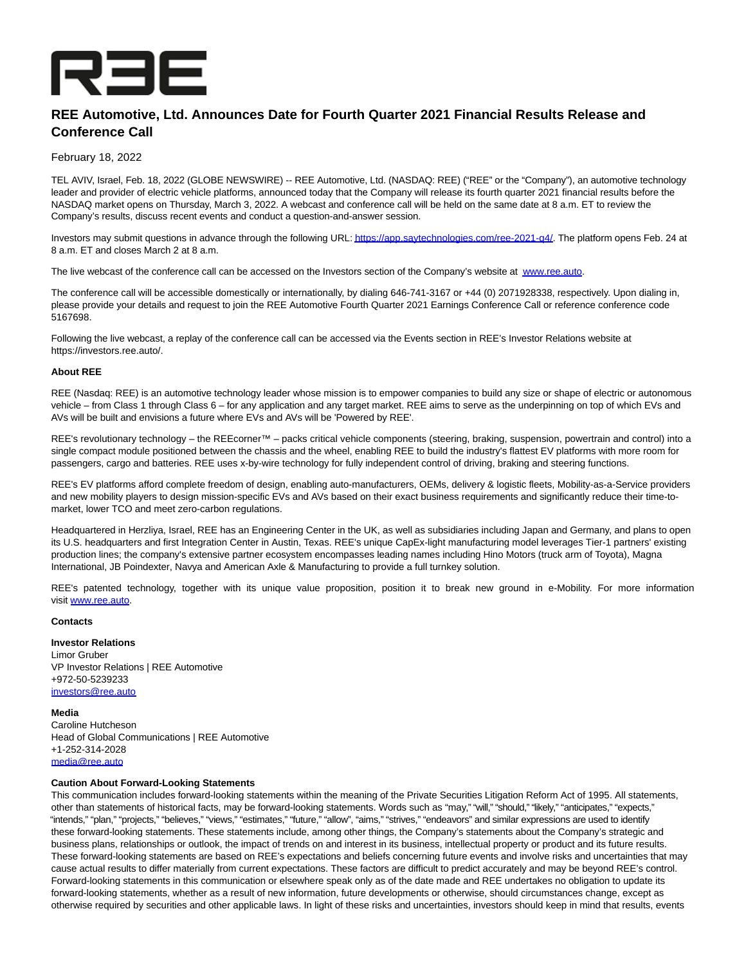

## **REE Automotive, Ltd. Announces Date for Fourth Quarter 2021 Financial Results Release and Conference Call**

February 18, 2022

TEL AVIV, Israel, Feb. 18, 2022 (GLOBE NEWSWIRE) -- REE Automotive, Ltd. (NASDAQ: REE) ("REE" or the "Company"), an automotive technology leader and provider of electric vehicle platforms, announced today that the Company will release its fourth quarter 2021 financial results before the NASDAQ market opens on Thursday, March 3, 2022. A webcast and conference call will be held on the same date at 8 a.m. ET to review the Company's results, discuss recent events and conduct a question-and-answer session.

Investors may submit questions in advance through the following URL[: https://app.saytechnologies.com/ree-2021-q4/.](https://www.globenewswire.com/Tracker?data=-Am5THGW8UZ6OCz9QdWGaZhVjgDeiyuwkN-Q3xgc1Nng4i6fOvdaSdkrEUypJVgVyERB5dHL-RkpRjONJzorgFatNMQ4h1nZqIXSUBpHACiiio66rrf1WhG_9HAOBe5wf7DZrsTI5q7X0p5gDs76Pw==) The platform opens Feb. 24 at 8 a.m. ET and closes March 2 at 8 a.m.

The live webcast of the conference call can be accessed on the Investors section of the Company's website at [www.ree.auto.](https://www.globenewswire.com/Tracker?data=axQhjRtp3Fj3aHxvMBF6eMQrZgN3LUXXAiXUV9xDOd7YuQsTIYrOCZVhbgy4ekhRj74oDi9qzG6eWngznwKAuw==)

The conference call will be accessible domestically or internationally, by dialing 646-741-3167 or +44 (0) 2071928338, respectively. Upon dialing in, please provide your details and request to join the REE Automotive Fourth Quarter 2021 Earnings Conference Call or reference conference code 5167698.

Following the live webcast, a replay of the conference call can be accessed via the Events section in REE's Investor Relations website at https://investors.ree.auto/.

## **About REE**

REE (Nasdaq: REE) is an automotive technology leader whose mission is to empower companies to build any size or shape of electric or autonomous vehicle – from Class 1 through Class 6 – for any application and any target market. REE aims to serve as the underpinning on top of which EVs and AVs will be built and envisions a future where EVs and AVs will be 'Powered by REE'.

REE's revolutionary technology – the REEcorner™ – packs critical vehicle components (steering, braking, suspension, powertrain and control) into a single compact module positioned between the chassis and the wheel, enabling REE to build the industry's flattest EV platforms with more room for passengers, cargo and batteries. REE uses x-by-wire technology for fully independent control of driving, braking and steering functions.

REE's EV platforms afford complete freedom of design, enabling auto-manufacturers, OEMs, delivery & logistic fleets, Mobility-as-a-Service providers and new mobility players to design mission-specific EVs and AVs based on their exact business requirements and significantly reduce their time-tomarket, lower TCO and meet zero-carbon regulations.

Headquartered in Herzliya, Israel, REE has an Engineering Center in the UK, as well as subsidiaries including Japan and Germany, and plans to open its U.S. headquarters and first Integration Center in Austin, Texas. REE's unique CapEx-light manufacturing model leverages Tier-1 partners' existing production lines; the company's extensive partner ecosystem encompasses leading names including Hino Motors (truck arm of Toyota), Magna International, JB Poindexter, Navya and American Axle & Manufacturing to provide a full turnkey solution.

REE's patented technology, together with its unique value proposition, position it to break new ground in e-Mobility. For more information visit [www.ree.auto.](https://www.globenewswire.com/Tracker?data=axQhjRtp3Fj3aHxvMBF6eIGl0S-vJjSfmdP_uubuGzb4AYQam9Q31E7QmWTrS9aqU4KuP3FlEmqQrGsoWBhExg==)

## **Contacts**

**Investor Relations** Limor Gruber VP Investor Relations | REE Automotive +972-50-5239233 [investors@ree.auto](https://www.globenewswire.com/Tracker?data=Ud7MlbeQhx-cQqyHBwHFH9hDiko0-NfndG753XYxaQCC4hX0NZAHAzELuujukFYkeRkww4rdnhMhAjn5EkUT2UohlqnRbk1DjK4G4ZLR1kY=)

**Media**

Caroline Hutcheson Head of Global Communications | REE Automotive +1-252-314-2028 [media@ree.auto](https://www.globenewswire.com/Tracker?data=I9goqE2H1ldnQbJbX3SGg0cdSA35LVyDhFrbAsL440J_gz3wXIxbk2qXfIMK0-kNWu2cPXE_lZ6d04OHjAfWQQ==)

## **Caution About Forward-Looking Statements**

This communication includes forward-looking statements within the meaning of the Private Securities Litigation Reform Act of 1995. All statements, other than statements of historical facts, may be forward-looking statements. Words such as "may," "will," "should," "likely," "anticipates," "expects," "intends," "plan," "projects," "believes," "views," "estimates," "future," "allow", "aims," "strives," "endeavors" and similar expressions are used to identify these forward-looking statements. These statements include, among other things, the Company's statements about the Company's strategic and business plans, relationships or outlook, the impact of trends on and interest in its business, intellectual property or product and its future results. These forward-looking statements are based on REE's expectations and beliefs concerning future events and involve risks and uncertainties that may cause actual results to differ materially from current expectations. These factors are difficult to predict accurately and may be beyond REE's control. Forward-looking statements in this communication or elsewhere speak only as of the date made and REE undertakes no obligation to update its forward-looking statements, whether as a result of new information, future developments or otherwise, should circumstances change, except as otherwise required by securities and other applicable laws. In light of these risks and uncertainties, investors should keep in mind that results, events